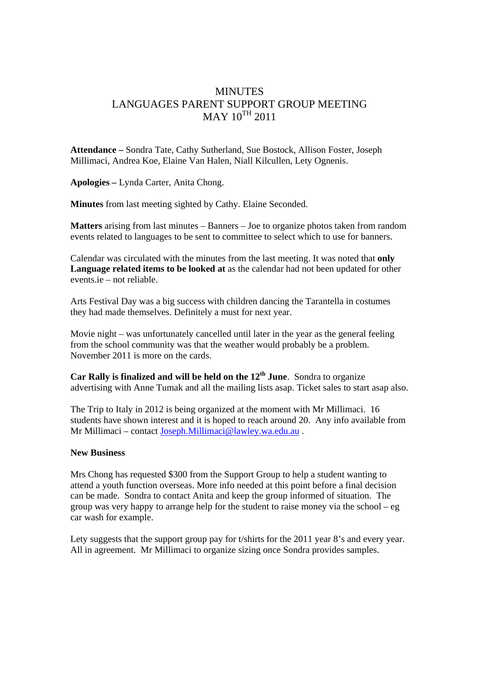## MINUTES LANGUAGES PARENT SUPPORT GROUP MEETING  $MAX 10^{TH} 2011$

**Attendance –** Sondra Tate, Cathy Sutherland, Sue Bostock, Allison Foster, Joseph Millimaci, Andrea Koe, Elaine Van Halen, Niall Kilcullen, Lety Ognenis.

**Apologies –** Lynda Carter, Anita Chong.

**Minutes** from last meeting sighted by Cathy. Elaine Seconded.

**Matters** arising from last minutes – Banners – Joe to organize photos taken from random events related to languages to be sent to committee to select which to use for banners.

Calendar was circulated with the minutes from the last meeting. It was noted that **only Language related items to be looked at** as the calendar had not been updated for other events.ie – not reliable.

Arts Festival Day was a big success with children dancing the Tarantella in costumes they had made themselves. Definitely a must for next year.

Movie night – was unfortunately cancelled until later in the year as the general feeling from the school community was that the weather would probably be a problem. November 2011 is more on the cards.

**Car Rally is finalized and will be held on the 12th June**. Sondra to organize advertising with Anne Tumak and all the mailing lists asap. Ticket sales to start asap also.

The Trip to Italy in 2012 is being organized at the moment with Mr Millimaci. 16 students have shown interest and it is hoped to reach around 20. Any info available from Mr Millimaci – contact Joseph.Millimaci@lawley.wa.edu.au .

## **New Business**

Mrs Chong has requested \$300 from the Support Group to help a student wanting to attend a youth function overseas. More info needed at this point before a final decision can be made. Sondra to contact Anita and keep the group informed of situation. The group was very happy to arrange help for the student to raise money via the school – eg car wash for example.

Lety suggests that the support group pay for t/shirts for the 2011 year 8's and every year. All in agreement. Mr Millimaci to organize sizing once Sondra provides samples.